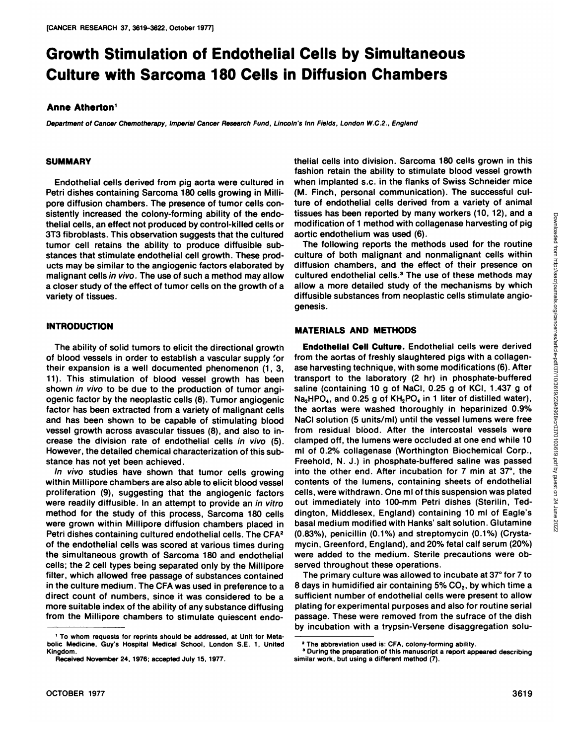# **Growth Stimulation of Endothelial Cells by Simultaneous Culture with Sarcoma 180 Cells in Diffusion Chambers**

### **Anne Atherton'**

Department of Cancer Chemotherapy, Imperial Cancer Research Fund, Lincoln's Inn Fields, London W.C.2., England

### **SUMMARY**

Endothelial cells derived from pig aorta were cultured in Petri dishes containing Sarcoma 180 cells growing in Milli pore diffusion chambers. The presence of tumor cells con sistently increased the colony-forming ability of the endothelial cells, an effect not produced by control-killed cells or 3T3 fibroblasts. This observation suggests that the cultured tumor cell retains the ability to produce diffusible sub stances that stimulate endothelial cell growth. These products may be similar to the angiogenic factors elaborated by malignant cells in vivo. The use of such a method may allow a closer study of the effect of tumor cells on the growth of a variety of tissues.

## **INTRODUCTION**

The ability of solid tumors to elicit the directional growth of blood vessels in order to establish a vascular supply 'or their expansion is a well documented phenomenon (1,3, 11). This stimulation of blood vessel growth has been shown in vivo to be due to the production of tumor angiogenic factor by the neoplastic cells (8). Tumor angiogenic factor has been extracted from a variety of malignant cells and has been shown to be capable of stimulating blood vessel growth across avascular tissues (8), and also to increase the division rate of endothelial cells in vivo (5). However, the detailed chemical characterization of this sub stance has not yet been achieved.

In vivo studies have shown that tumor cells growing within Millipore chambers are also able to elicit blood vessel proliferation (9), suggesting that the angiogenic factors were readily diffusible. In an attempt to provide an in vitro method for the study of this process, Sarcoma 180 cells were grown within Millipore diffusion chambers placed in Petri dishes containing cultured endothelial cells. The CFA2 of the endothelial cells was scored at various times during the simultaneous growth of Sarcoma 180 and endothelial cells; the 2 cell types being separated only by the Millipore filter, which allowed free passage of substances contained in the culture medium. The CFA was used in preference to a direct count of numbers, since it was considered to be a more suitable index of the ability of any substance diffusing from the Millipore chambers to stimulate quiescent endo

thelial cells into division. Sarcoma 180 cells grown in this fashion retain the ability to stimulate blood vessel growth when implanted s.c. in the flanks of Swiss Schneider mice (M. Finch, personal communication). The successful cul ture of endothelial cells derived from a variety of animal modification of 1 method with collagenase harvesting of pig aortic endothelium was used (6).

The following reports the methods used for the routine culture of both malignant and nonmalignant cells within diffusion chambers, and the effect of their presence on cultured endothelial cells.<sup>3</sup> The use of these methods may allow a more detailed study of the mechanisms by which diffusible substances from neoplastic cells stimulate angio genesis.

### **MATERIALSAND METHODS**

tissues has been reported by many workers (10, 12), and a<br>modification of 1 method with collagenase harvesting of pig<br>aortic endothelium was used (6).<br>The following reports the methods used for the routine<br>activale and th **EndothelialCell Cufture.Endothelialcellswere derived** from the aortas of freshly slaughtered pigs with a collagen ase harvesting technique, with some modifications (6). After transport to the laboratory (2 hr) in phosphate-buffered saline (containing 10 g of NaCI, 0.25 g of KCI, 1.437 g of  $Na<sub>2</sub>HPO<sub>4</sub>$ , and 0.25 g of  $KH<sub>2</sub>PO<sub>4</sub>$  in 1 liter of distilled water), the aortas were washed thoroughly in heparinized 0.9% NaCI solution (5 units/mI) until the vessel lumens were free from residual blood. After the intercostal vessels were clamped off, the lumens were occluded at one end while 10 ml of 0.2% collagenase (Worthington Biochemical Corp., Freehold, N. J.) in phosphate-buffered saline was passed into the other end. After incubation for  $7$  min at  $37^\circ$ , the contents of the lumens, containing sheets of endothelial cells, were withdrawn . One ml of this suspension was plated out immediately into 100-mm Petri dishes (Sterilin, Teddington, Middlesex, England) containing 10 ml of Eagle's basal medium modified with Hanks' salt solution. Glutamine  $(0.83%)$ , penicillin  $(0.1%)$  and streptomycin  $(0.1%)$  (Crystamycin, Greenford, England), and 20% fetal calf serum (20%) were added to the medium. Sterile precautions were ob served throughout these operations.

The primary culture was allowed to incubate at 37° for 7 to 8 days in humidified air containing  $5\%$  CO<sub>2</sub>, by which time a sufficient number of endothelial cells were present to allow plating for experimental purposes and also for routine serial passage. These were removed from the sufrace of the dish by incubation with a trypsin-Versene disaggregation solu-

**<sup>1</sup> To whom requests for reprints should be addressed, at Unit for Mete** bolic Medicine, Guy's Hospital Medical School, London S.E. 1, United Kingdom.

Received November 24, 1976; accepted July 15, 1977.

**<sup>2</sup> The abbreviation used is: CFA, colony-forming ability.**

**<sup>3</sup> During the preparation of this manuscript a report appeared describing** similar work, but using a different method (7).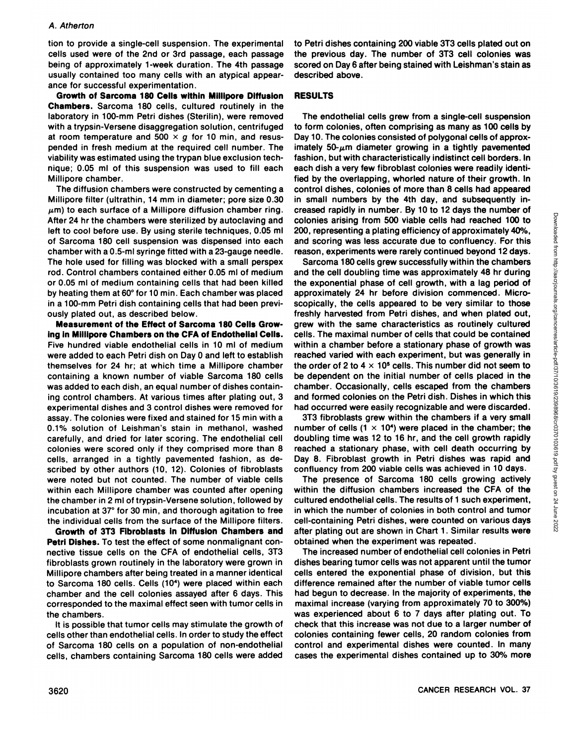tion to provide a single-cell suspension. The experimental cells used were of the 2nd or 3rd passage, each passage being of approximately 1-week duration. The 4th passage usually contained too many cells with an atypical appear ance for successful experimentation.

Growth of Sarcoma I 80 Cells within Millipore Diffusion RESULTS **Chambers. Sarcoma 180 cells, cultured routinelyin the** laboratory in 100-mm Petri dishes (Sterilin), were removed with a trypsin-Versene disaggregation solution, centrifuged at room temperature and 500  $\times$  g for 10 min, and resuspended in fresh medium at the required cell number. The viability was estimated using the trypan blue exclusion tech nique; 0.05 ml of this suspension was used to fill each Millipore chamber.

The diffusion chambers were constructed by cementing a Millipore filter (ultrathin, 14 mm in diameter; pore size 0.30  $\mu$ m) to each surface of a Millipore diffusion chamber ring. After 24 hr the chambers were sterilized by autoclaving and left to cool before use. By using sterile techniques, 0.05 ml of Sarcoma 180 cell suspension was dispensed into each chamber with a 0.5-mI syringe fitted with a 23-gauge needle. The hole used for filling was blocked with a small perspex rod. Control chambers contained either 0.05 ml of medium or 0.05 ml of medium containing cells that had been killed by heating them at 60° for 10 min. Each chamber was placed in a 100-mm Petri dish containing cells that had been previ ously plated out, as described below.

**Measurement of the Effect of Sarcoma 180 Cells Grow-Ing in Millipore Chambers on the CFA of Endothelial Cells.** Five hundred viable endothelial cells in 10 ml of medium were added to each Petri dish on Day 0 and left to establish themselves for 24 hr; at which time a Millipore chamber containing a known number of viable Sarcoma 180 cells was added to each dish, an equal number of dishes containing control chambers. At various times after plating out, 3 experimental dishes and 3 control dishes were removed for assay. The colonies were fixed and stained for 15 min with a 0.1% solution of Leishman's stain in methanol, washed carefully, and dried for later scoring. The endothelial cell colonies were scored only if they comprised more than 8 cells, arranged in a tightly pavemented fashion, as de scribed by other authors (10, 12). Colonies of fibroblasts were noted but not counted. The number of viable cells within each Millipore chamber was counted after opening the chamber in 2 ml of trypsin-Versene solution, followed by incubation at 37° for 30 min, and thorough agitation to free the individual cells from the surface of the Millipore filters.

**Growth of 3T3 Fibroblasts in Diffusion Chambers and Petri Dishes.** To test the effect of some nonmalignant connective tissue cells on the CFA of endothelial cells, 3T3 fibroblasts grown routinely in the laboratory were grown in Millipore chambers after being treated in a manner identical to Sarcoma 180 cells. Cells (10<sup>4</sup>) were placed within each chamber and the cell colonies assayed after 6 days. This corresponded to the maximal effect seen with tumor cells in the chambers.

It is possible that tumor cells may stimulate the growth of cells other than endothelial cells. In order to study the effect of Sarcoma 180 cells on a population of non-endothelial cells, chambers containing Sarcoma 180 cells were added

to Petri dishes containing 200 viable 3T3 cells plated out on the previous day. The number of 3T3 cell colonies was scored on Day 6 after being stained with Leishman's stain as described above.

The endothelial cells grew from a single-cell suspension to form colonies, often comprising as many as 100 cells by Day 10.The colonies consisted of polygonal cells of approx imately  $50-\mu m$  diameter growing in a tightly pavemented fashion, but with characteristically indistinct cell borders. In each dish a very few fibroblast colonies were readily identified by the overlapping, whorled nature of their growth. In control dishes, colonies of more than 8 cells had appeared in small numbers by the 4th day, and subsequently in creased rapidly in number. By 10 to 12 days the number of 200, representing a plating efficiency of approximately 40%, and scoring was less accurate due to confluency. For this reason, experiments were rarely continued beyond 12 days.

colonies arising from 500 viable cells had reached 100 to<br>200, representing a plating efficiency of approximately 40%,<br>200, representing a plating efficiency of approximately 40%,<br>and scoring was less accurate due to confl Sarcoma 180 cells grew successfully within the chambers and the cell doubling time was approximately 48 hr during the exponential phase of cell growth, with a lag period of approximately 24 hr before division commenced. Micro scopically, the cells appeared to be very similar to those freshly harvested from Petri dishes, and when plated out, grew with the same characteristics as routinely cultured cells. The maximal number of cells that could be contained within a chamber before a stationary phase of growth was reached varied with each experiment, but was generally in the order of 2 to  $4 \times 10^5$  cells. This number did not seem to be dependent on the initial number of cells placed in the chamber. Occasionally, cells escaped from the chambers and formed colonies on the Petri dish. Dishes in which this had occurred were easily recognizable and were discarded.

3T3 fibroblasts grew within the chambers if a very small number of cells (1  $\times$  10<sup>4</sup>) were placed in the chamber; the doubling time was 12 to 16 hr, and the cell growth rapidly reached a stationary phase, with cell death occurring by Day 8. Fibroblast growth in Petri dishes was rapid and confluency from 200 viable cells was achieved in 10 days.

The presence of Sarcoma 180 cells growing actively within the diffusion chambers increased the CFA of the cultured endothelial cells. The results of 1 such experiment, in which the number of colonies in both control and tumor cell-containing Petri dishes, were counted on various days after plating out are shown in Chart 1. Similar results were obtained when the experiment was repeated.

The increased number of endothelial cell colonies in Petri dishes bearing tumor cells was not apparent until the tumor cells entered the exponential phase of division, but this difference remained after the number of viable tumor cells had begun to decrease. In the majority of experiments, the maximal increase (varying from approximately 70 to 300%) was experienced about 6 to 7 days after plating out. To check that this increase was not due to a larger number of colonies containing fewer cells, 20 random colonies from control and experimental dishes were counted. In many cases the experimental dishes contained up to 30% more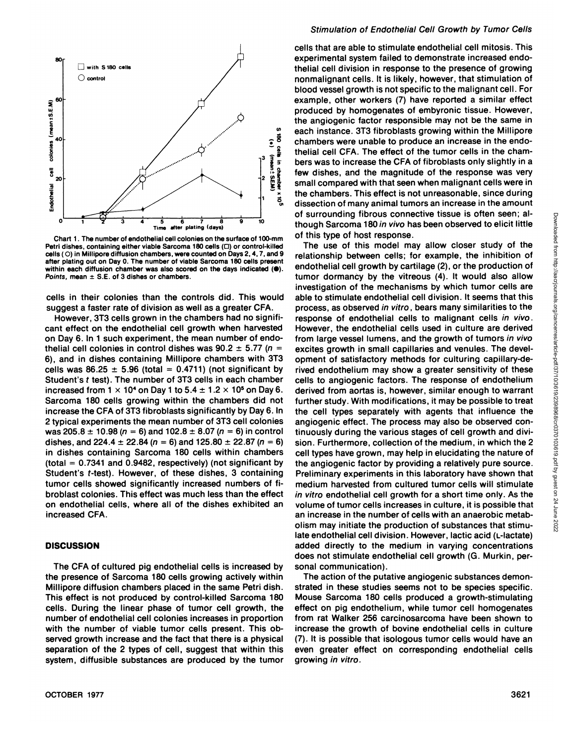

Chart 1. The number of endothelial cell colonies on the surface of 100-mm Petri dishes, containing either viable Sarcoma 180 cells ( $\Box$ ) or control-killed cells ( 0) in Millipore diffusion chambers, were counted on Days 2, 4, 7, and 9 after plating out on Day 0. The number of viable Sarcoma 180 cells present within each diffusion chamber was also scored on the days indicated  $(①)$ . Points, mean  $\pm$  S.E. of 3 dishes or chambers.

cells in their colonies than the controls did. This would suggest a faster rate of division as well as a greater CFA.

However, 3T3 cells grown in the chambers had no significant effect on the endothelial cell growth when harvested on Day 6. In 1 such experiment, the mean number of endo thelial cell colonies in control dishes was  $90.2 \pm 5.77$  (n = 6), and in dishes containing Millipore chambers with 3T3 cells was  $86.25 \pm 5.96$  (total = 0.4711) (not significant by Student's t test). The number of 3T3 cells in each chamber increased from  $1 \times 10^4$  on Day 1 to  $5.4 \pm 1.2 \times 10^5$  on Day 6. Sarcoma 180 cells growing within the chambers did not increase the CFA of 3T3 fibroblasts significantly by Day 6. In 2 typical experiments the mean number of 3T3 cell colonies was 205.8  $\pm$  10.98 (n = 6) and 102.8  $\pm$  8.07 (n = 6) in control dishes, and 224.4  $\pm$  22.84 (n = 6) and 125.80  $\pm$  22.87 (n = 6) in dishes containing Sarcoma 180 cells within chambers  $(total = 0.7341$  and 0.9482, respectively) (not significant by Student's t-test). However, of these dishes, 3 containing tumor cells showed significantly increased numbers of fi broblast colonies. This effect was much less than the effect on endothelial cells, where all of the dishes exhibited an increased CFA.

### **DISCUSSION**

The CFA of cultured pig endothelial cells is increased by the presence of Sarcoma 180 cells growing actively within Millipore diffusion chambers placed in the same Petri dish. This effect is not produced by control-killed Sarcoma 180 cells. During the linear phase of tumor cell growth, the number of endothelial cell colonies increases in proportion with the number of viable tumor cells present. This ob served growth increase and the fact that there is a physical separation of the 2 types of cell, suggest that within this system, diffusible substances are produced by the tumor

### Stimulation of Endothelial Cell Growth by Tumor Cells

cells that are able to stimulate endothelial cell mitosis. This experimental system failed to demonstrate increased endo thelial cell division in response to the presence of growing nonmalignant cells. It is likely, however, that stimulation of blood vessel growth is not specific to the malignant cell. For example, other workers (7) have reported a similar effect produced by homogenates of embyronic tissue. However, the angiogenic factor responsible may not be the same in thelial cell CFA. The effect of the tumor cells in the cham- $\mathbb{R}$  for the magnitude of the response was very  $\mathbb{R}$  for the magnitude of the response was very *@ g small compared with that seen when malignant cells were in* the chambers. This effect is not unreasonable, since during  $\frac{3}{6}$  the chambers. This effect is not unreasonable, since during<br> $\frac{3}{6}$  dissection of many animal tumors an increase in the amount of surrounding fibrous connective tissue is often seen; al of this type of host response.

of surrounding fibrous connective tissue is order seen; at<br>a though Sarcoma 180 in vivo has been observed to elicit little<br>of this type of this model may allow closer study of the<br>of this type of host response.<br>The use of The use of this model may allow closer study of the relationship between cells; for example, the inhibition of endothelial cell growth by cartilage (2), or the production of tumor dormancy by the vitreous (4). It would also allow investigation of the mechanisms by which tumor cells are able to stimulate endothelial cell division. It seems that this process, as observed in vitro , bears many similarities to the response of endothelial cells to malignant cells in vivo. However, the endothelial cells used in culture are derived from large vessel lumens, and the growth of tumors in vivo excites growth in small capillaries and venules. The devel opment of satisfactory methods for culturing capillary-derived endothelium may show a greater sensitivity of these cells to angiogenic factors. The response of endothelium derived from aortas is, however, similar enough to warrant further study. With modifications, it may be possible to treat the cell types separately with agents that influence the angiogenic effect. The process may also be observed con tinuously during the various stages of cell growth and divi sion. Furthermore, collection of the medium, in which the 2 cell types have grown, may help in elucidating the nature of the angiogenic factor by providing a relatively pure source. Preliminary experiments in this laboratory have shown that medium harvested from cultured tumor cells will stimulate in vitro endothelial cell growth for a short time only. As the volume of tumor cells increases in culture, it is possible that an increase in the number of cells with an anaerobic metab olism may initiate the production of substances that stimu late endothelial cell division. However, lactic acid (L-lactate) added directly to the medium in varying concentrations does not stimulate endothelial cell growth (G. Murkin, per sonal communication).

The action of the putative angiogenic substances demon strated in these studies seems not to be species specific. Mouse Sarcoma 180 cells produced a growth-stimulating effect on pig endothelium, while tumor cell homogenates from rat Walker 256 carcinosarcoma have been shown to increase the growth of bovine endothelial cells in culture (7). It is possible that isobogous tumor cells would have an even greater effect on corresponding endothelial cells growing in vitro.